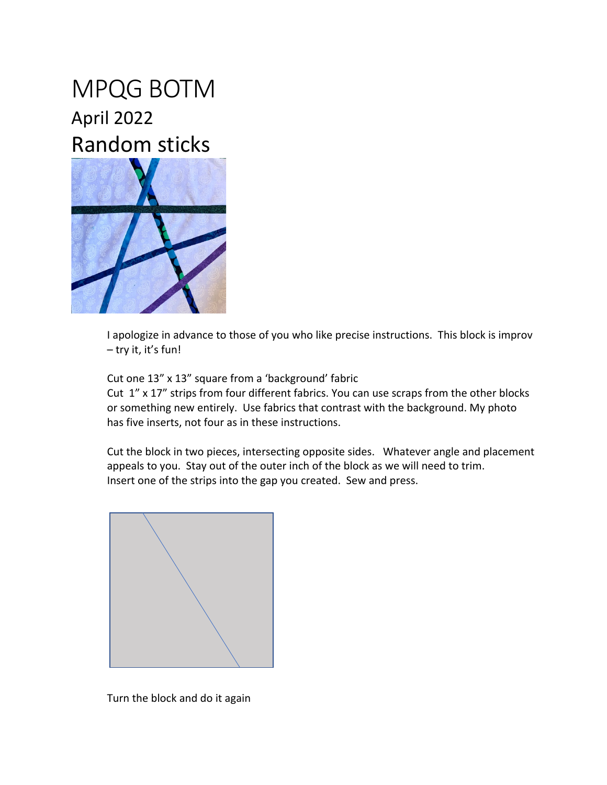## MPQG BOTM April 2022 Random sticks



I apologize in advance to those of you who like precise instructions. This block is improv – try it, it's fun!

Cut one 13" x 13" square from a 'background' fabric Cut 1" x 17" strips from four different fabrics. You can use scraps from the other blocks or something new entirely. Use fabrics that contrast with the background. My photo has five inserts, not four as in these instructions.

Cut the block in two pieces, intersecting opposite sides. Whatever angle and placement appeals to you. Stay out of the outer inch of the block as we will need to trim. Insert one of the strips into the gap you created. Sew and press.



Turn the block and do it again